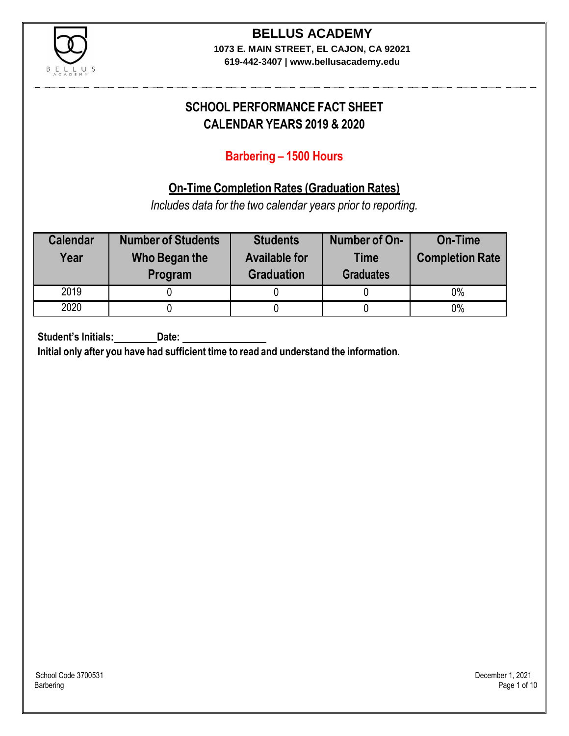

## **BELLUS ACADEMY**

**1073 E. MAIN STREET, EL CAJON, CA 92021 619-442-3407 | www.bellusacademy.edu**

## **SCHOOL PERFORMANCE FACT SHEET CALENDAR YEARS 2019 & 2020**

## **Barbering – 1500 Hours**

## **On-Time Completion Rates (Graduation Rates)**

*Includes data for the two calendar years prior to reporting.*

| <b>Calendar</b><br>Year | <b>Number of Students</b><br>Who Began the<br>Program | <b>Students</b><br><b>Available for</b><br><b>Graduation</b> | Number of On-<br><b>Time</b><br><b>Graduates</b> | <b>On-Time</b><br><b>Completion Rate</b> |
|-------------------------|-------------------------------------------------------|--------------------------------------------------------------|--------------------------------------------------|------------------------------------------|
| 2019                    |                                                       |                                                              |                                                  | $0\%$                                    |
| 2020                    |                                                       |                                                              |                                                  | $0\%$                                    |

**Student's Initials: Date:**

**Initial only after you have had sufficient time to read and understand the information.**

School Code 3700531 December 1, 2021<br>Barbering Page 1 of 10 Barbering Page 1 of 10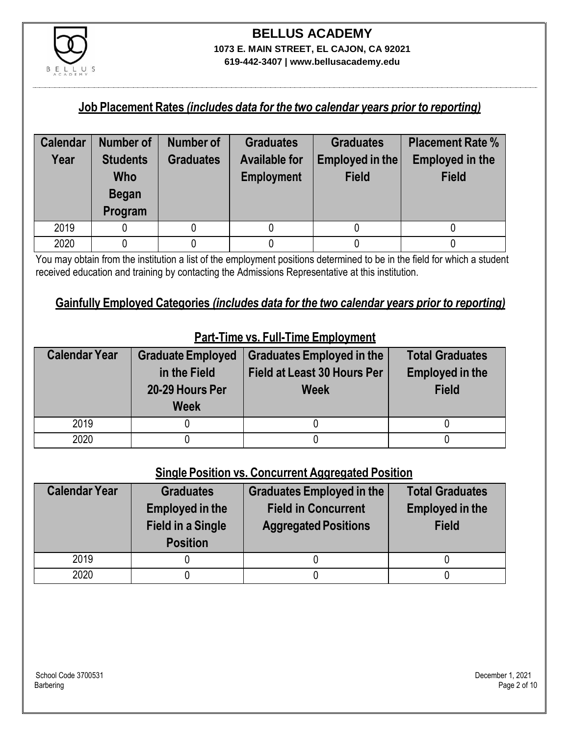

## **BELLUS ACADEMY 1073 E. MAIN STREET, EL CAJON, CA 92021**

**619-442-3407 | www.bellusacademy.edu**

#### **Job Placement Rates** *(includes data for the two calendar years prior to reporting)*

| <b>Calendar</b> | Number of                                                | <b>Number of</b> | <b>Graduates</b>                          | <b>Graduates</b>                | <b>Placement Rate %</b>                |
|-----------------|----------------------------------------------------------|------------------|-------------------------------------------|---------------------------------|----------------------------------------|
| Year            | <b>Students</b><br><b>Who</b><br><b>Began</b><br>Program | <b>Graduates</b> | <b>Available for</b><br><b>Employment</b> | Employed in the<br><b>Field</b> | <b>Employed in the</b><br><b>Field</b> |
| 2019            |                                                          |                  |                                           |                                 |                                        |
| 2020            |                                                          |                  |                                           |                                 |                                        |

You may obtain from the institution a list of the employment positions determined to be in the field for which a student received education and training by contacting the Admissions Representative at this institution.

#### **Gainfully Employed Categories** *(includes data for the two calendar years prior to reporting)*

| <b>Calendar Year</b> | <b>Graduate Employed</b><br>in the Field<br>20-29 Hours Per<br><b>Week</b> | <b>Graduates Employed in the</b><br><b>Field at Least 30 Hours Per</b><br><b>Week</b> | <b>Total Graduates</b><br><b>Employed in the</b><br><b>Field</b> |
|----------------------|----------------------------------------------------------------------------|---------------------------------------------------------------------------------------|------------------------------------------------------------------|
| 2019                 |                                                                            |                                                                                       |                                                                  |
| 2020                 |                                                                            |                                                                                       |                                                                  |

## **Part-Time vs. Full-Time Employment**

#### **Single Position vs. Concurrent Aggregated Position**

| <b>Calendar Year</b> | <b>Graduates</b><br><b>Employed in the</b><br><b>Field in a Single</b><br><b>Position</b> | Graduates Employed in the<br><b>Field in Concurrent</b><br><b>Aggregated Positions</b> | <b>Total Graduates</b><br><b>Employed in the</b><br><b>Field</b> |
|----------------------|-------------------------------------------------------------------------------------------|----------------------------------------------------------------------------------------|------------------------------------------------------------------|
| 2019                 |                                                                                           |                                                                                        |                                                                  |
| 2020                 |                                                                                           |                                                                                        |                                                                  |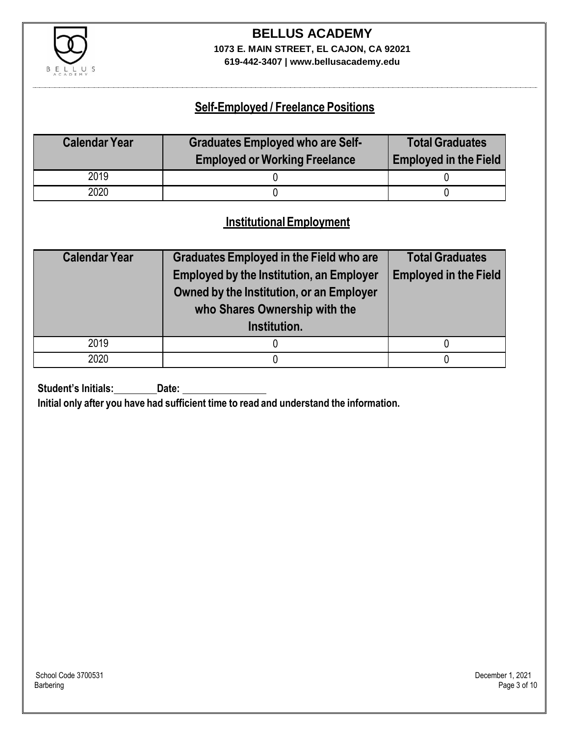

## **BELLUS ACADEMY 1073 E. MAIN STREET, EL CAJON, CA 92021**

**619-442-3407 | www.bellusacademy.edu**

## **Self-Employed / Freelance Positions**

| <b>Calendar Year</b> | <b>Graduates Employed who are Self-</b><br><b>Employed or Working Freelance</b> | <b>Total Graduates</b><br><b>Employed in the Field</b> |
|----------------------|---------------------------------------------------------------------------------|--------------------------------------------------------|
| 2019                 |                                                                                 |                                                        |
| 2020                 |                                                                                 |                                                        |

## **InstitutionalEmployment**

| <b>Calendar Year</b> | <b>Graduates Employed in the Field who are</b><br><b>Employed by the Institution, an Employer</b><br>Owned by the Institution, or an Employer<br>who Shares Ownership with the | <b>Total Graduates</b><br><b>Employed in the Field</b> |
|----------------------|--------------------------------------------------------------------------------------------------------------------------------------------------------------------------------|--------------------------------------------------------|
|                      | Institution.                                                                                                                                                                   |                                                        |
| 2019                 |                                                                                                                                                                                |                                                        |
| 2020                 |                                                                                                                                                                                |                                                        |

**Student's Initials:** Date:

**Initial only after you have had sufficient time to read and understand the information.**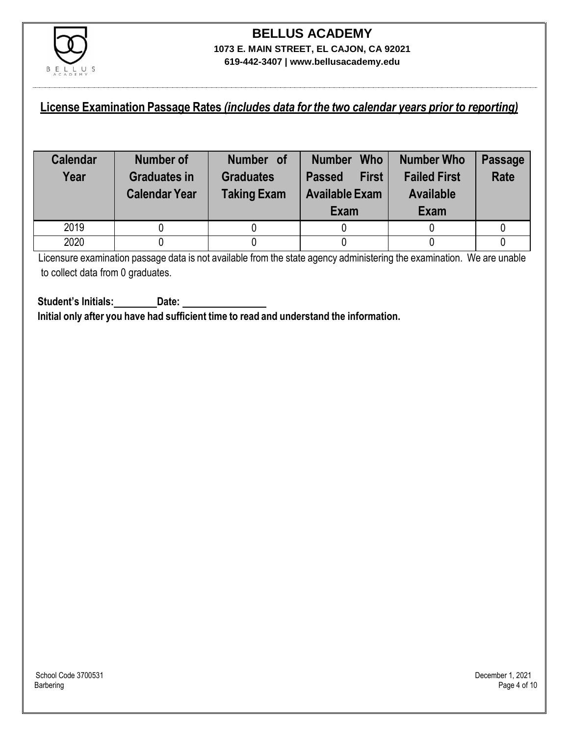

#### **License Examination Passage Rates** *(includes data for the two calendar years prior to reporting)*

| <b>Calendar</b><br>Year | Number of<br><b>Graduates in</b><br><b>Calendar Year</b> | Number of<br><b>Graduates</b><br><b>Taking Exam</b> | <b>Who</b><br><b>Number</b><br><b>First</b><br><b>Passed</b><br><b>Available Exam</b><br>Exam | <b>Number Who</b><br><b>Failed First</b><br><b>Available</b><br>Exam | <b>Passage</b><br><b>Rate</b> |
|-------------------------|----------------------------------------------------------|-----------------------------------------------------|-----------------------------------------------------------------------------------------------|----------------------------------------------------------------------|-------------------------------|
| 2019                    |                                                          |                                                     |                                                                                               |                                                                      |                               |
| 2020                    |                                                          |                                                     |                                                                                               |                                                                      |                               |

Licensure examination passage data is not available from the state agency administering the examination. We are unable to collect data from 0 graduates.

**Student's Initials: Date: Initial only after you have had sufficient time to read and understand the information.**

School Code 3700531 December 1, 2021<br>Barbering Page 4 of 10 Barbering Page 4 of 10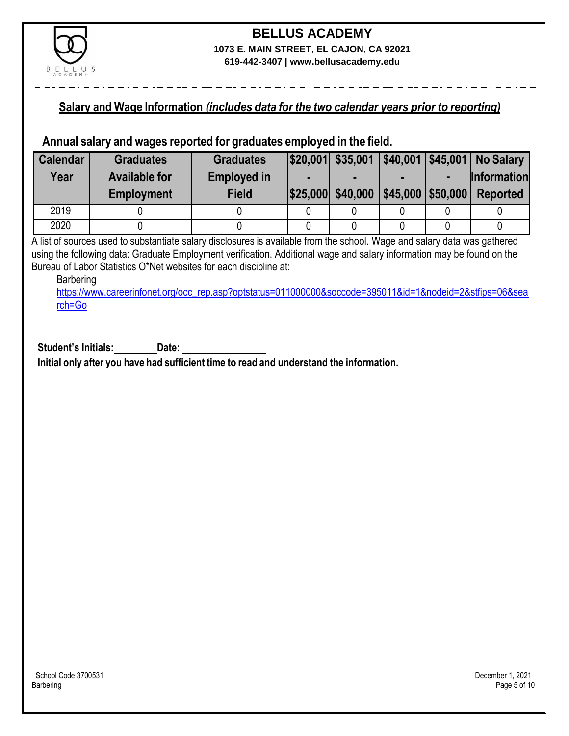

### **Salary and Wage Information** *(includes data for the two calendar years prior to reporting)*

#### **Annual salary and wages reported for graduates employed in the field.**

| <b>Calendar</b> | <b>Graduates</b>     | <b>Graduates</b>   |                   |                      |                | $ $20,001$ $$35,001$ $ $40,001$ $ $45,001$ No Salary |
|-----------------|----------------------|--------------------|-------------------|----------------------|----------------|------------------------------------------------------|
| Year            | <b>Available for</b> | <b>Employed in</b> |                   |                      | $\blacksquare$ | <b>Information</b>                                   |
|                 | <b>Employment</b>    | <b>Field</b>       | \$25,000 \$40,000 | $ $45,000$ $$50,000$ |                | <b>Reported</b>                                      |
| 2019            |                      |                    |                   |                      |                |                                                      |
| 2020            |                      |                    |                   |                      |                |                                                      |

A list of sources used to substantiate salary disclosures is available from the school. Wage and salary data was gathered using the following data: Graduate Employment verification. Additional wage and salary information may be found on the Bureau of Labor Statistics O\*Net websites for each discipline at:

Barbering

[https://www.careerinfonet.org/occ\\_rep.asp?optstatus=011000000&soccode=395011&id=1&nodeid=2&stfips=06&sea](https://www.careerinfonet.org/occ_rep.asp?optstatus=011000000&soccode=395011&id=1&nodeid=2&stfips=06&search=Go) [rch=Go](https://www.careerinfonet.org/occ_rep.asp?optstatus=011000000&soccode=395011&id=1&nodeid=2&stfips=06&search=Go)

**Student's Initials: Date: Initial only after you have had sufficient time to read and understand the information.**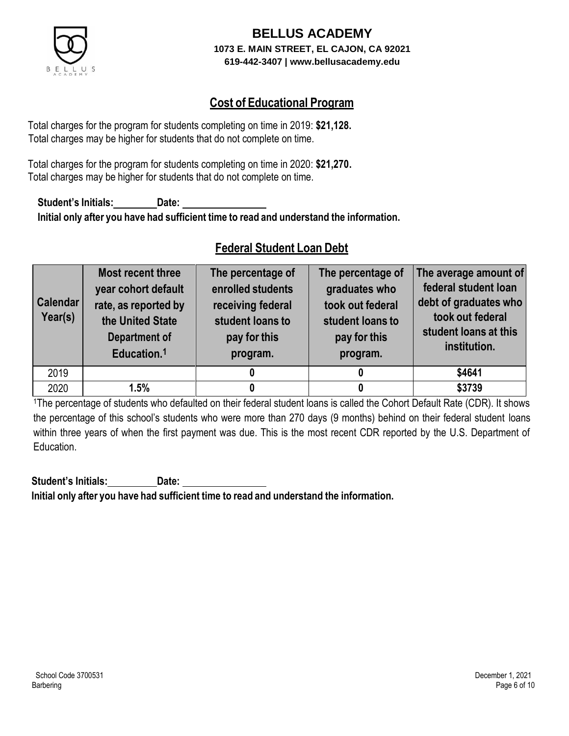

## **Cost of Educational Program**

Total charges for the program for students completing on time in 2019: **\$21,128.** Total charges may be higher for students that do not complete on time.

Total charges for the program for students completing on time in 2020: **\$21,270.** Total charges may be higher for students that do not complete on time.

**Student's Initials: Date: Initial only after you have had sufficient time to read and understand the information.**

## **Federal Student Loan Debt**

| <b>Calendar</b><br>Year(s) | Most recent three<br>year cohort default<br>rate, as reported by<br>the United State<br>Department of<br>Education. <sup>1</sup> | The percentage of<br>enrolled students<br>receiving federal<br>student loans to<br>pay for this<br>program. | The percentage of<br>graduates who<br>took out federal<br>student loans to<br>pay for this<br>program. | The average amount of<br>federal student loan<br>debt of graduates who<br>took out federal<br>student loans at this<br>institution. |
|----------------------------|----------------------------------------------------------------------------------------------------------------------------------|-------------------------------------------------------------------------------------------------------------|--------------------------------------------------------------------------------------------------------|-------------------------------------------------------------------------------------------------------------------------------------|
| 2019                       |                                                                                                                                  |                                                                                                             |                                                                                                        | \$4641                                                                                                                              |
| 2020                       | 1.5%                                                                                                                             |                                                                                                             |                                                                                                        | \$3739                                                                                                                              |

<sup>1</sup>The percentage of students who defaulted on their federal student loans is called the Cohort Default Rate (CDR). It shows the percentage of this school's students who were more than 270 days (9 months) behind on their federal student loans within three years of when the first payment was due. This is the most recent CDR reported by the U.S. Department of Education.

**Student's Initials: Date: Initial only after you have had sufficient time to read and understand the information.**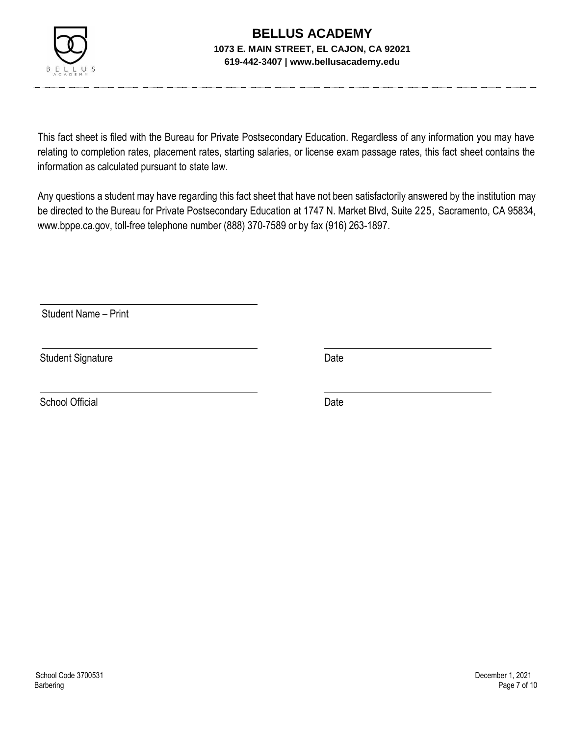

This fact sheet is filed with the Bureau for Private Postsecondary Education. Regardless of any information you may have relating to completion rates, placement rates, starting salaries, or license exam passage rates, this fact sheet contains the information as calculated pursuant to state law.

Any questions a student may have regarding this fact sheet that have not been satisfactorily answered by the institution may be directed to the Bureau for Private Postsecondary Education at 1747 N. Market Blvd, Suite 225, Sacramento, CA 95834, [www.bppe.ca.gov,](http://www.bppe.ca.gov/) toll-free telephone number (888) 370-7589 or by fax (916) 263-1897.

Student Name – Print

Student Signature Date Date

School Official Date Date Date Date Date Date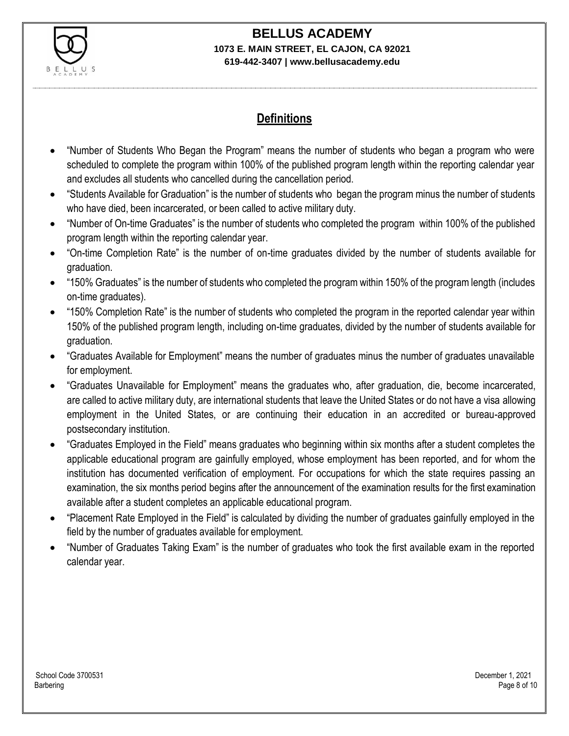

# **BELLUS ACADEMY**

#### **1073 E. MAIN STREET, EL CAJON, CA 92021 619-442-3407 | www.bellusacademy.edu**

## **Definitions**

- "Number of Students Who Began the Program" means the number of students who began a program who were scheduled to complete the program within 100% of the published program length within the reporting calendar year and excludes all students who cancelled during the cancellation period.
- "Students Available for Graduation" is the number of students who began the program minus the number of students who have died, been incarcerated, or been called to active military duty.
- "Number of On-time Graduates" is the number of students who completed the program within 100% of the published program length within the reporting calendar year.
- "On-time Completion Rate" is the number of on-time graduates divided by the number of students available for graduation.
- "150% Graduates" is the number of students who completed the program within 150% of the program length (includes on-time graduates).
- "150% Completion Rate" is the number of students who completed the program in the reported calendar year within 150% of the published program length, including on-time graduates, divided by the number of students available for graduation.
- "Graduates Available for Employment" means the number of graduates minus the number of graduates unavailable for employment.
- "Graduates Unavailable for Employment" means the graduates who, after graduation, die, become incarcerated, are called to active military duty, are international students that leave the United States or do not have a visa allowing employment in the United States, or are continuing their education in an accredited or bureau-approved postsecondary institution.
- "Graduates Employed in the Field" means graduates who beginning within six months after a student completes the applicable educational program are gainfully employed, whose employment has been reported, and for whom the institution has documented verification of employment. For occupations for which the state requires passing an examination, the six months period begins after the announcement of the examination results for the first examination available after a student completes an applicable educational program.
- "Placement Rate Employed in the Field" is calculated by dividing the number of graduates gainfully employed in the field by the number of graduates available for employment.
- "Number of Graduates Taking Exam" is the number of graduates who took the first available exam in the reported calendar year.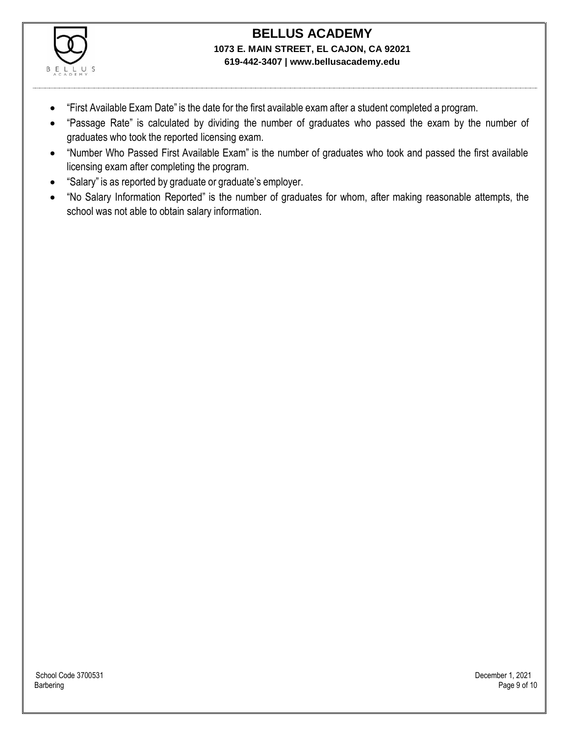

- "First Available Exam Date" is the date for the first available exam after a student completed a program.
- "Passage Rate" is calculated by dividing the number of graduates who passed the exam by the number of graduates who took the reported licensing exam.
- "Number Who Passed First Available Exam" is the number of graduates who took and passed the first available licensing exam after completing the program.
- "Salary" is as reported by graduate or graduate's employer.
- "No Salary Information Reported" is the number of graduates for whom, after making reasonable attempts, the school was not able to obtain salary information.